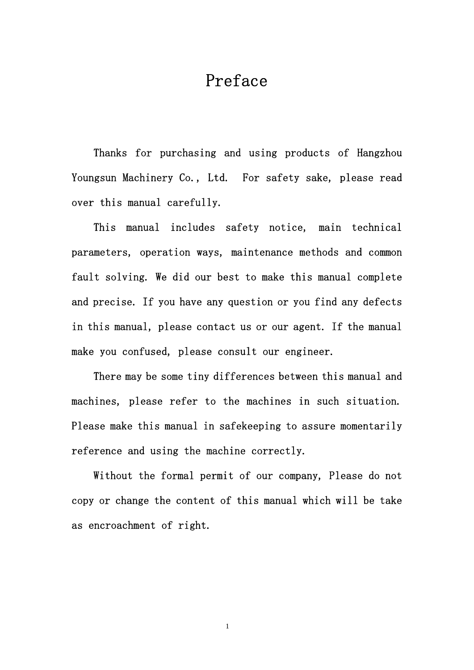### Preface

Thanks for purchasing and using products of Hangzhou Youngsun Machinery Co., Ltd. For safety sake, please read over this manual carefully.

This manual includes safety notice, main technical parameters, operation ways, maintenance methods and common fault solving. We did our best to make this manual complete and precise. If you have any question or you find any defects in this manual, please contact us or our agent. If the manual make you confused, please consult our engineer.

There may be some tiny differences between this manual and machines, please refer to the machines in such situation. Please make this manual in safekeeping to assure momentarily reference and using the machine correctly.

Without the formal permit of our company, Please do not copy or change the content of this manual which will be take as encroachment of right.

1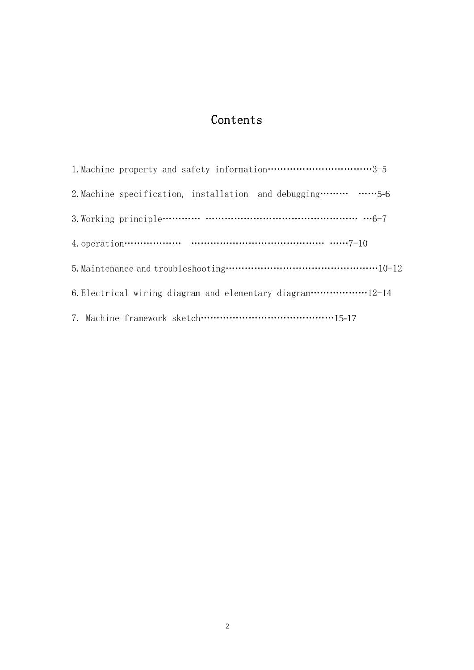### Contents

| 1. Machine property and safety information……………………………………3-5     |
|-----------------------------------------------------------------|
| 2. Machine specification, installation and debugging            |
| 3. Working principle………… ………………………………………… $\cdots$ 6-7          |
|                                                                 |
|                                                                 |
| 6. Electrical wiring diagram and elementary diagram…………………12-14 |
|                                                                 |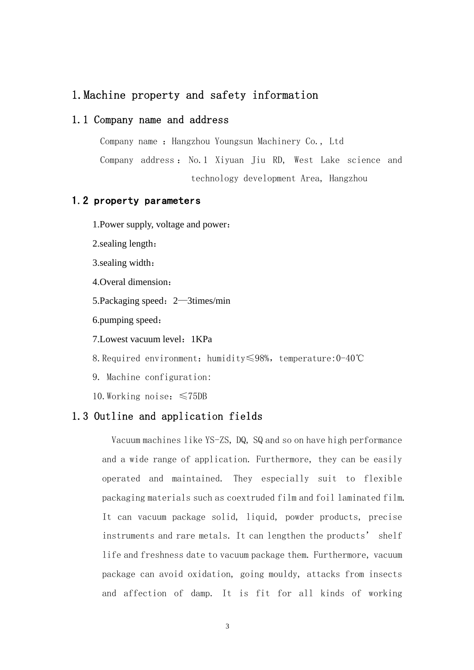#### 1.Machine property and safety information

#### 1.1 Company name and address

Company name : Hangzhou Youngsun Machinery Co., Ltd

Company address : No.1 Xiyuan Jiu RD, West Lake science and technology development Area, Hangzhou

#### 1.2 property parameters

1.Power supply, voltage and power:

2.sealing length:

3.sealing width:

4.Overal dimension:

5.Packaging speed:2—3times/min

6.pumping speed:

7. Lowest vacuum level: 1KPa

8. Required environment: humidity≤98%, temperature:0-40℃

9. Machine configuration:

10.Working noise:≤75DB

#### 1.3 Outline and application fields

 Vacuum machines like YS-ZS, DQ, SQ and so on have high performance and a wide range of application. Furthermore, they can be easily operated and maintained. They especially suit to flexible packaging materials such as coextruded film and foil laminated film. It can vacuum package solid, liquid, powder products, precise instruments and rare metals. It can lengthen the products' shelf life and freshness date to vacuum package them. Furthermore, vacuum package can avoid oxidation, going mouldy, attacks from insects and affection of damp. It is fit for all kinds of working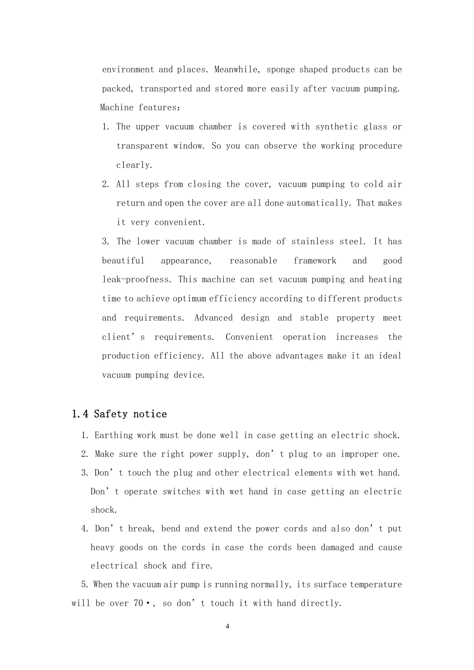environment and places. Meanwhile, sponge shaped products can be packed, transported and stored more easily after vacuum pumping. Machine features:

- 1. The upper vacuum chamber is covered with synthetic glass or transparent window. So you can observe the working procedure clearly.
- 2. All steps from closing the cover, vacuum pumping to cold air return and open the cover are all done automatically. That makes it very convenient.

3. The lower vacuum chamber is made of stainless steel. It has beautiful appearance, reasonable framework and good leak-proofness. This machine can set vacuum pumping and heating time to achieve optimum efficiency according to different products and requirements. Advanced design and stable property meet client's requirements. Convenient operation increases the production efficiency. All the above advantages make it an ideal vacuum pumping device.

#### 1.4 Safety notice

- 1. Earthing work must be done well in case getting an electric shock.
- 2. Make sure the right power supply, don't plug to an improper one.
- 3. Don't touch the plug and other electrical elements with wet hand. Don't operate switches with wet hand in case getting an electric shock.
- 4. Don't break, bend and extend the power cords and also don't put heavy goods on the cords in case the cords been damaged and cause electrical shock and fire.

5. When the vacuum air pump is running normally, its surface temperature will be over  $70 \cdot$ , so don't touch it with hand directly.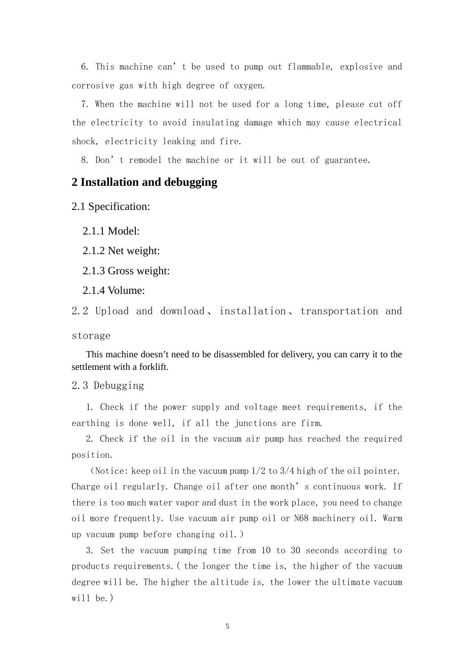6. This machine can't be used to pump out flammable, explosive and corrosive gas with high degree of oxygen.

7. When the machine will not be used for a long time, please cut off the electricity to avoid insulating damage which may cause electrical shock, electricity leaking and fire.

8. Don't remodel the machine or it will be out of guarantee.

#### **2 Installation and debugging**

2.1 Specification:

2.1.1 Model:

2.1.2 Net weight:

2.1.3 Gross weight:

2.1.4 Volume:

2.2 Upload and download、 installation、 transportation and storage

This machine doesn't need to be disassembled for delivery, you can carry it to the settlement with a forklift.

2.3 Debugging

 1. Check if the power supply and voltage meet requirements, if the earthing is done well, if all the junctions are firm.

2. Check if the oil in the vacuum air pump has reached the required position.

(Notice: keep oil in the vacuum pump  $1/2$  to  $3/4$  high of the oil pointer. Charge oil regularly. Change oil after one month's continuous work. If there is too much water vapor and dust in the work place, you need to change oil more frequently. Use vacuum air pump oil or N68 machinery oil. Warm up vacuum pump before changing oil.)

3. Set the vacuum pumping time from 10 to 30 seconds according to products requirements.( the longer the time is, the higher of the vacuum degree will be. The higher the altitude is, the lower the ultimate vacuum  $will be.$ )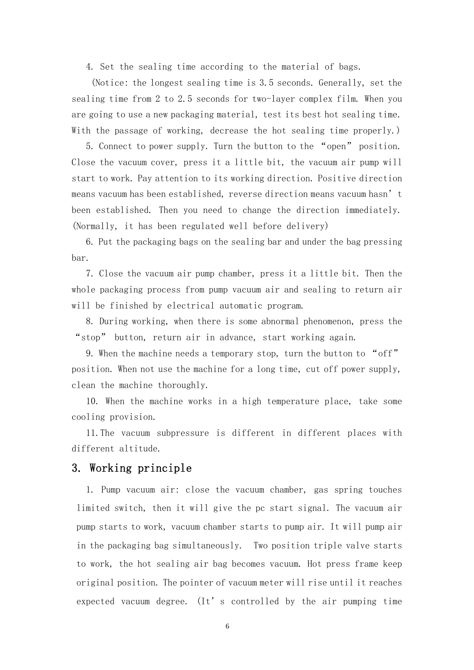4. Set the sealing time according to the material of bags.

 (Notice: the longest sealing time is 3.5 seconds. Generally, set the sealing time from 2 to 2.5 seconds for two-layer complex film. When you are going to use a new packaging material, test its best hot sealing time. With the passage of working, decrease the hot sealing time properly.)

 5. Connect to power supply. Turn the button to the "open" position. Close the vacuum cover, press it a little bit, the vacuum air pump will start to work. Pay attention to its working direction. Positive direction means vacuum has been established, reverse direction means vacuum hasn't been established. Then you need to change the direction immediately. (Normally, it has been regulated well before delivery)

 6. Put the packaging bags on the sealing bar and under the bag pressing bar.

 7. Close the vacuum air pump chamber, press it a little bit. Then the whole packaging process from pump vacuum air and sealing to return air will be finished by electrical automatic program.

 8. During working, when there is some abnormal phenomenon, press the "stop" button, return air in advance, start working again.

 9. When the machine needs a temporary stop, turn the button to "off" position. When not use the machine for a long time, cut off power supply, clean the machine thoroughly.

 10. When the machine works in a high temperature place, take some cooling provision.

 11.The vacuum subpressure is different in different places with different altitude.

#### 3. Working principle

1. Pump vacuum air: close the vacuum chamber, gas spring touches limited switch, then it will give the pc start signal. The vacuum air pump starts to work, vacuum chamber starts to pump air. It will pump air in the packaging bag simultaneously. Two position triple valve starts to work, the hot sealing air bag becomes vacuum. Hot press frame keep original position. The pointer of vacuum meter will rise until it reaches expected vacuum degree. (It's controlled by the air pumping time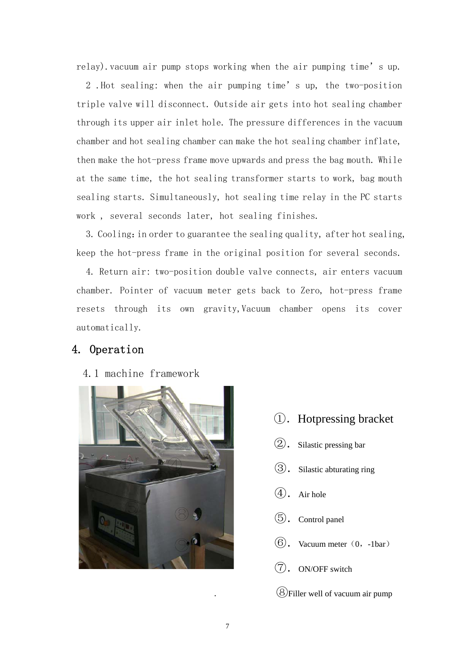relay).vacuum air pump stops working when the air pumping time's up.

2 .Hot sealing: when the air pumping time's up, the two-position triple valve will disconnect. Outside air gets into hot sealing chamber through its upper air inlet hole. The pressure differences in the vacuum chamber and hot sealing chamber can make the hot sealing chamber inflate, then make the hot-press frame move upwards and press the bag mouth. While at the same time, the hot sealing transformer starts to work, bag mouth sealing starts. Simultaneously, hot sealing time relay in the PC starts work , several seconds later, hot sealing finishes.

3. Cooling: in order to guarantee the sealing quality, after hot sealing, keep the hot-press frame in the original position for several seconds.

4. Return air: two-position double valve connects, air enters vacuum chamber. Pointer of vacuum meter gets back to Zero, hot-press frame resets through its own gravity,Vacuum chamber opens its cover automatically.

#### 4. Operation

4.1 machine framework



- ①.Hotpressing bracket
- $(2)$ . Silastic pressing bar
- $(3)$ . Silastic abturating ring
- $(4)$ . Air hole
- ⑤.Control panel
- $(6)$ . Vacuum meter  $(0, -1$ bar)
- ⑦.ON/OFF switch
- $(8)$ Filler well of vacuum air pump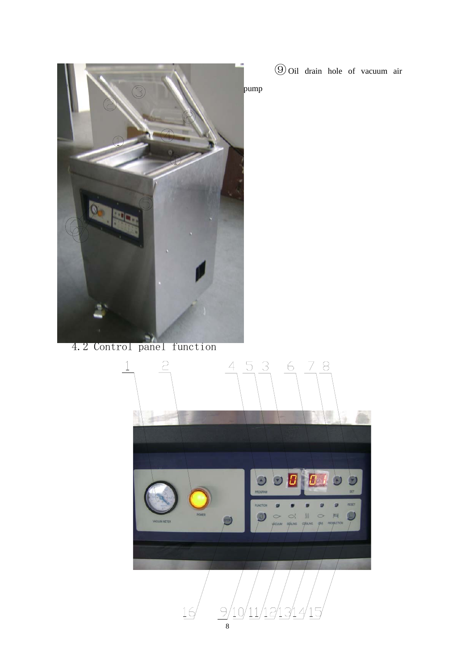

4.2 Control panel function



⑨Oil drain hole of vacuum air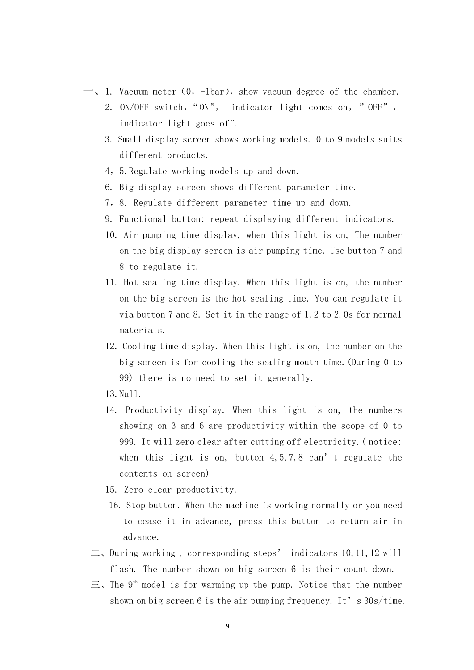- $\dot{\phantom{a}}$ , 1. Vacuum meter (0, -1bar), show vacuum degree of the chamber.
	- 2. ON/OFF switch, "ON", indicator light comes on, "OFF", indicator light goes off.
	- 3. Small display screen shows working models. 0 to 9 models suits different products.
	- 4,5.Regulate working models up and down.
	- 6. Big display screen shows different parameter time.
	- 7,8. Regulate different parameter time up and down.
	- 9. Functional button: repeat displaying different indicators.
	- 10. Air pumping time display, when this light is on, The number on the big display screen is air pumping time. Use button 7 and 8 to regulate it.
	- 11. Hot sealing time display. When this light is on, the number on the big screen is the hot sealing time. You can regulate it via button 7 and 8. Set it in the range of 1.2 to 2.0s for normal materials.
	- 12. Cooling time display. When this light is on, the number on the big screen is for cooling the sealing mouth time.(During 0 to 99) there is no need to set it generally.
	- 13.Null.
	- 14. Productivity display. When this light is on, the numbers showing on 3 and 6 are productivity within the scope of 0 to 999. It will zero clear after cutting off electricity.( notice: when this light is on, button  $4, 5, 7, 8$  can't regulate the contents on screen)
	- 15. Zero clear productivity.
	- 16. Stop button. When the machine is working normally or you need to cease it in advance, press this button to return air in advance.
- $\equiv$ , During working, corresponding steps' indicators 10,11,12 will flash. The number shown on big screen 6 is their count down.
- $\Xi$ , The 9<sup>th</sup> model is for warming up the pump. Notice that the number shown on big screen 6 is the air pumping frequency. It's  $30s/t$ ime.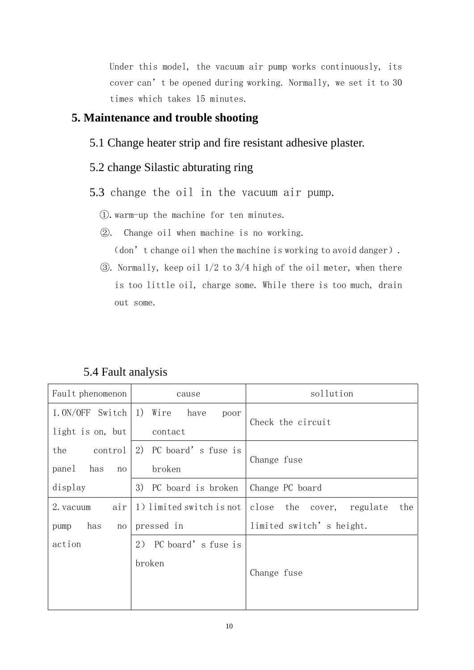Under this model, the vacuum air pump works continuously, its cover can't be opened during working. Normally, we set it to 30 times which takes 15 minutes.

### **5. Maintenance and trouble shooting**

- 5.1 Change heater strip and fire resistant adhesive plaster.
- 5.2 change Silastic abturating ring
- 5.3 change the oil in the vacuum air pump.
	- ①.warm-up the machine for ten minutes.
	- ②. Change oil when machine is no working.

(don't change oil when the machine is working to avoid danger).

 ③. Normally, keep oil 1/2 to 3/4 high of the oil meter, when there is too little oil, charge some. While there is too much, drain out some.

| Fault phenomenon                             | cause                      | sollution                        |  |
|----------------------------------------------|----------------------------|----------------------------------|--|
| 1.0N/OFF Switch                              | 1)<br>Wire<br>have<br>poor | Check the circuit                |  |
| light is on, but                             | contact                    |                                  |  |
| the<br>control                               | 2) PC board's fuse is      | Change fuse                      |  |
| panel<br>has<br>no                           | broken                     |                                  |  |
| display                                      | 3) PC board is broken      | Change PC board                  |  |
| 1) limited switch is not<br>air<br>2. vacuum |                            | close the cover, regulate<br>the |  |
| pressed in<br>has<br>pump<br>no              |                            | limited switch's height.         |  |
| action                                       | 2) PC board's fuse is      |                                  |  |
|                                              | broken                     | Change fuse                      |  |
|                                              |                            |                                  |  |
|                                              |                            |                                  |  |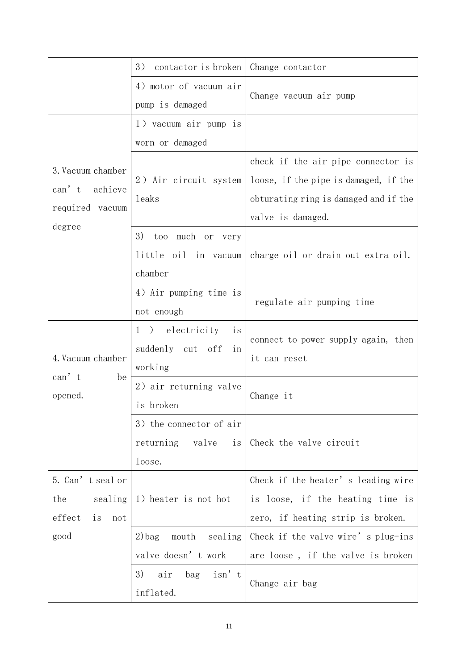|                     | 3)<br>contactor is broken    | Change contactor                                        |  |
|---------------------|------------------------------|---------------------------------------------------------|--|
|                     | 4) motor of vacuum air       | Change vacuum air pump                                  |  |
|                     | pump is damaged              |                                                         |  |
|                     | 1) vacuum air pump is        |                                                         |  |
|                     | worn or damaged              |                                                         |  |
| 3. Vacuum chamber   |                              | check if the air pipe connector is                      |  |
| can't achieve       | 2) Air circuit system        | loose, if the pipe is damaged, if the                   |  |
| required vacuum     | leaks                        | obturating ring is damaged and if the                   |  |
| degree              |                              | valve is damaged.                                       |  |
|                     | 3)<br>too much or very       |                                                         |  |
|                     |                              | little oil in vacuum charge oil or drain out extra oil. |  |
|                     | chamber                      |                                                         |  |
|                     | 4) Air pumping time is       | regulate air pumping time                               |  |
|                     | not enough                   |                                                         |  |
|                     | electricity<br>1)<br>is      | connect to power supply again, then                     |  |
| 4. Vacuum chamber   | suddenly cut off<br>in       | it can reset                                            |  |
| $can'$ t<br>be      | working                      |                                                         |  |
| opened.             | 2) air returning valve       | Change it                                               |  |
|                     | is broken                    |                                                         |  |
|                     | 3) the connector of air      |                                                         |  |
|                     | returning<br>valve<br>is     | Check the valve circuit                                 |  |
|                     | loose.                       |                                                         |  |
| 5. Can't seal or    |                              | Check if the heater's leading wire                      |  |
| the<br>sealing      | 1) heater is not hot         | is loose, if the heating time is                        |  |
| effect<br>is<br>not |                              | zero, if heating strip is broken.                       |  |
| good                | sealing<br>$2)$ bag<br>mouth | Check if the valve wire's plug-ins                      |  |
|                     | valve doesn't work           | are loose, if the valve is broken                       |  |
|                     | isn't<br>3)<br>air<br>bag    |                                                         |  |
|                     | inflated.                    | Change air bag                                          |  |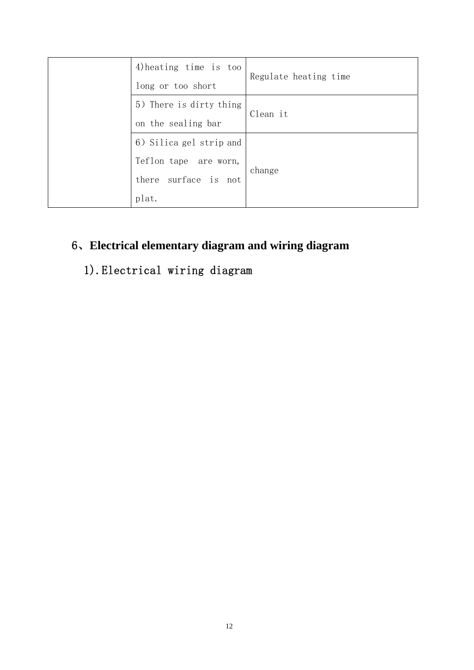| 4) heating time is too<br>long or too short                                       | Regulate heating time |  |
|-----------------------------------------------------------------------------------|-----------------------|--|
| 5) There is dirty thing<br>on the sealing bar                                     | Clean it              |  |
| 6) Silica gel strip and<br>Teflon tape are worn,<br>there surface is not<br>plat. | change                |  |

### 6、**Electrical elementary diagram and wiring diagram**

# 1).Electrical wiring diagram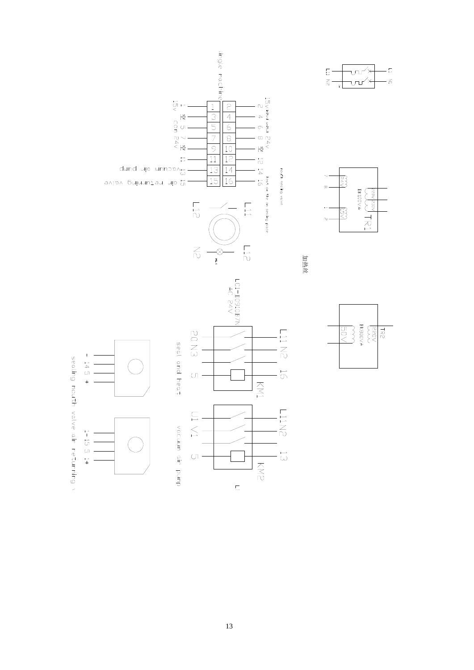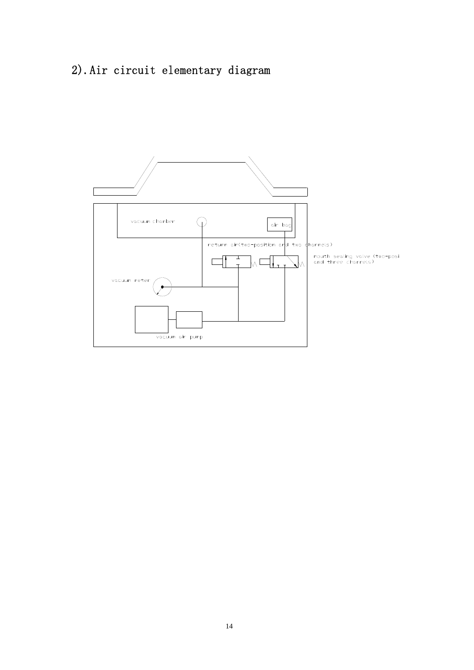# 2).Air circuit elementary diagram

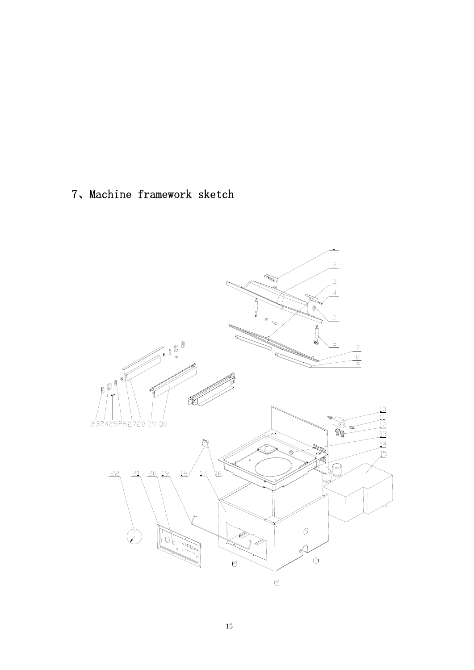7、Machine framework sketch

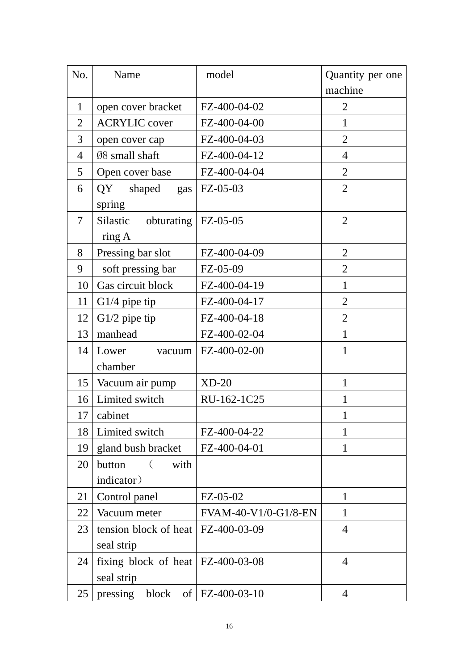| No.            | Name                                   | model                     | Quantity per one |
|----------------|----------------------------------------|---------------------------|------------------|
|                |                                        |                           | machine          |
| $\mathbf{1}$   | open cover bracket                     | FZ-400-04-02              | $\overline{2}$   |
| 2              | <b>ACRYLIC</b> cover                   | FZ-400-04-00              | $\mathbf{1}$     |
| 3              | open cover cap                         | FZ-400-04-03              | $\overline{2}$   |
| $\overline{4}$ | 08 small shaft                         | FZ-400-04-12              | $\overline{4}$   |
| 5              | Open cover base                        | FZ-400-04-04              | 2                |
| 6              | QY shaped<br>gas<br>spring             | $FZ-05-03$                | $\overline{2}$   |
| $\tau$         | obturating<br>Silastic<br>ring A       | $FZ-05-05$                | $\overline{2}$   |
| 8              | Pressing bar slot                      | FZ-400-04-09              | $\overline{2}$   |
| 9              | soft pressing bar                      | FZ-05-09                  | $\overline{2}$   |
| 10             | Gas circuit block                      | FZ-400-04-19              | $\mathbf{1}$     |
| 11             | $G1/4$ pipe tip                        | FZ-400-04-17              | $\overline{2}$   |
| 12             | $G1/2$ pipe tip                        | FZ-400-04-18              | $\overline{2}$   |
| 13             | manhead                                | FZ-400-02-04              | $\mathbf{1}$     |
| 14             | Lower<br>vacuum                        | FZ-400-02-00              | $\mathbf{1}$     |
|                | chamber                                |                           |                  |
| 15             | Vacuum air pump                        | $XD-20$                   | $\mathbf{1}$     |
| 16             | Limited switch                         | RU-162-1C25               | 1                |
| 17             | cabinet                                |                           | $\mathbf{1}$     |
| 18             | Limited switch                         | FZ-400-04-22              | $\mathbf{1}$     |
| 19             | gland bush bracket                     | FZ-400-04-01              | 1                |
| 20             | with<br>button<br>$\left($             |                           |                  |
|                | indicator)                             |                           |                  |
| 21             | Control panel                          | $FZ-05-02$                | $\mathbf{1}$     |
| 22             | Vacuum meter                           | FVAM-40-V1/0-G1/8-EN      | $\mathbf{1}$     |
| 23             | tension block of heat $ FZ-400-03-09 $ |                           | $\overline{4}$   |
|                | seal strip                             |                           |                  |
| 24             | fixing block of heat $ FZ-400-03-08 $  |                           | $\overline{4}$   |
|                | seal strip                             |                           |                  |
| 25             | pressing<br>block                      | of   $FZ - 400 - 03 - 10$ | $\overline{4}$   |